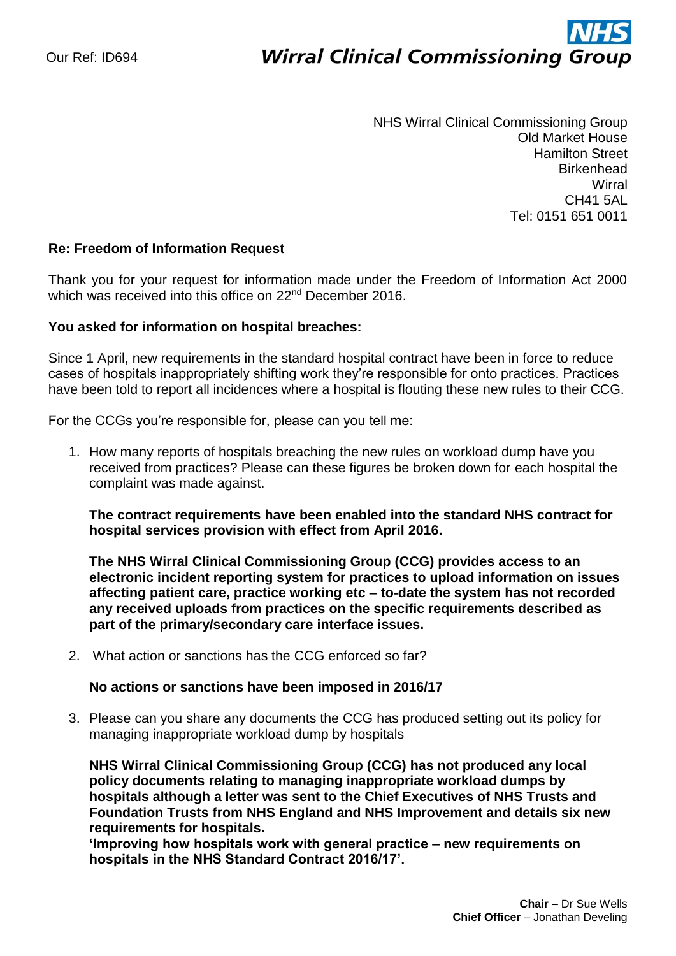# ì **Wirral Clinical Commissioning Group**

NHS Wirral Clinical Commissioning Group Old Market House Hamilton Street **Birkenhead Wirral** CH41 5AL Tel: 0151 651 0011

## **Re: Freedom of Information Request**

Thank you for your request for information made under the Freedom of Information Act 2000 which was received into this office on 22<sup>nd</sup> December 2016.

### **You asked for information on hospital breaches:**

Since 1 April, new requirements in the standard hospital contract have been in force to reduce cases of hospitals inappropriately shifting work they're responsible for onto practices. Practices have been told to report all incidences where a hospital is flouting these new rules to their CCG.

For the CCGs you're responsible for, please can you tell me:

1. How many reports of hospitals breaching the new rules on workload dump have you received from practices? Please can these figures be broken down for each hospital the complaint was made against.

**The contract requirements have been enabled into the standard NHS contract for hospital services provision with effect from April 2016.**

**The NHS Wirral Clinical Commissioning Group (CCG) provides access to an electronic incident reporting system for practices to upload information on issues affecting patient care, practice working etc – to-date the system has not recorded any received uploads from practices on the specific requirements described as part of the primary/secondary care interface issues.**

2. What action or sanctions has the CCG enforced so far?

### **No actions or sanctions have been imposed in 2016/17**

3. Please can you share any documents the CCG has produced setting out its policy for managing inappropriate workload dump by hospitals

**NHS Wirral Clinical Commissioning Group (CCG) has not produced any local policy documents relating to managing inappropriate workload dumps by hospitals although a letter was sent to the Chief Executives of NHS Trusts and Foundation Trusts from NHS England and NHS Improvement and details six new requirements for hospitals.**

**'Improving how hospitals work with general practice – new requirements on hospitals in the NHS Standard Contract 2016/17'.**